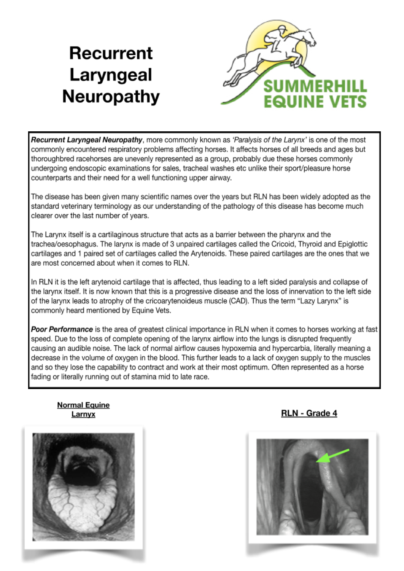# **Recurrent** Laryngeal **Neuropathy**



**Recurrent Laryngeal Neuropathy**, more commonly known as 'Paralysis of the Larynx' is one of the most commonly encountered respiratory problems affecting horses. It affects horses of all breeds and ages but thoroughbred racehorses are unevenly represented as a group, probably due these horses commonly undergoing endoscopic examinations for sales, tracheal washes etc unlike their sport/pleasure horse counterparts and their need for a well functioning upper airway.

The disease has been given many scientific names over the years but RLN has been widely adopted as the standard veterinary terminology as our understanding of the pathology of this disease has become much clearer over the last number of years.

The Larynx itself is a cartilaginous structure that acts as a barrier between the pharynx and the trachea/oesophagus. The larynx is made of 3 unpaired cartilages called the Cricoid, Thyroid and Epiglottic cartilages and 1 paired set of cartilages called the Arytenoids. These paired cartilages are the ones that we are most concerned about when it comes to RLN.

In RLN it is the left arytenoid cartilage that is affected, thus leading to a left sided paralysis and collapse of the larynx itself. It is now known that this is a progressive disease and the loss of innervation to the left side of the larynx leads to atrophy of the cricoarytenoideus muscle (CAD). Thus the term "Lazy Larynx" is commonly heard mentioned by Equine Vets.

**Poor Performance** is the area of greatest clinical importance in RLN when it comes to horses working at fast speed. Due to the loss of complete opening of the larynx airflow into the lungs is disrupted frequently causing an audible noise. The lack of normal airflow causes hypoxemia and hypercarbia, literally meaning a decrease in the volume of oxygen in the blood. This further leads to a lack of oxygen supply to the muscles and so they lose the capability to contract and work at their most optimum. Often represented as a horse fading or literally running out of stamina mid to late race.

**Normal Equine** Larnvx



### RLN - Grade 4

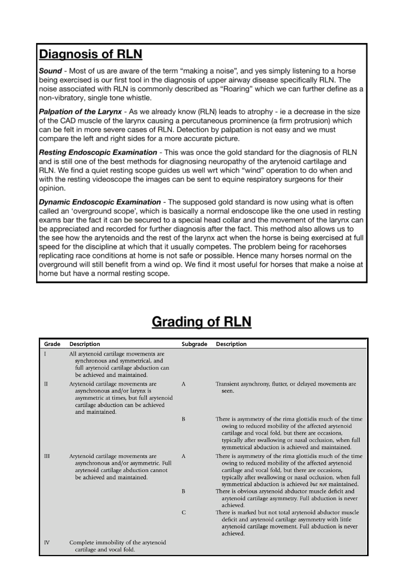## **Diagnosis of RLN**

**Sound** - Most of us are aware of the term "making a noise", and yes simply listening to a horse being exercised is our first tool in the diagnosis of upper airway disease specifically RLN. The noise associated with RLN is commonly described as "Roaring" which we can further define as a non-vibratory, single tone whistle.

Palpation of the Larynx - As we already know (RLN) leads to atrophy - ie a decrease in the size of the CAD muscle of the larynx causing a percutaneous prominence (a firm protrusion) which can be felt in more severe cases of RLN. Detection by palpation is not easy and we must compare the left and right sides for a more accurate picture.

Resting Endoscopic Examination - This was once the gold standard for the diagnosis of RLN and is still one of the best methods for diagnosing neuropathy of the arytenoid cartilage and RLN. We find a quiet resting scope quides us well wrt which "wind" operation to do when and with the resting videoscope the images can be sent to equine respiratory surgeons for their opinion.

Dynamic Endoscopic Examination - The supposed gold standard is now using what is often called an 'overground scope', which is basically a normal endoscope like the one used in resting exams bar the fact it can be secured to a special head collar and the movement of the larynx can be appreciated and recorded for further diagnosis after the fact. This method also allows us to the see how the arytenoids and the rest of the larynx act when the horse is being exercised at full speed for the discipline at which that it usually competes. The problem being for racehorses replicating race conditions at home is not safe or possible. Hence many horses normal on the overground will still benefit from a wind op. We find it most useful for horses that make a noise at home but have a normal resting scope.

| Grade        | <b>Description</b>                                                                                                                                                      | Subgrade     | <b>Description</b>                                                                                                                                                                                                                                                                          |
|--------------|-------------------------------------------------------------------------------------------------------------------------------------------------------------------------|--------------|---------------------------------------------------------------------------------------------------------------------------------------------------------------------------------------------------------------------------------------------------------------------------------------------|
|              | All arytenoid cartilage movements are<br>synchronous and symmetrical, and<br>full arytenoid cartilage abduction can<br>be achieved and maintained.                      |              |                                                                                                                                                                                                                                                                                             |
| $\mathbf{I}$ | Arytenoid cartilage movements are<br>asynchronous and/or larynx is<br>asymmetric at times, but full arytenoid<br>cartilage abduction can be achieved<br>and maintained. | $\mathsf{A}$ | Transient asynchrony, flutter, or delayed movements are<br>seen.                                                                                                                                                                                                                            |
|              |                                                                                                                                                                         | B            | There is asymmetry of the rima glottidis much of the time<br>owing to reduced mobility of the affected arytenoid<br>cartilage and vocal fold, but there are occasions,<br>typically after swallowing or nasal occlusion, when full<br>symmetrical abduction is achieved and maintained.     |
| III          | Arytenoid cartilage movements are<br>asynchronous and/or asymmetric. Full<br>arytenoid cartilage abduction cannot<br>be achieved and maintained.                        | $\mathbf{A}$ | There is asymmetry of the rima glottidis much of the time<br>owing to reduced mobility of the affected arytenoid<br>cartilage and vocal fold, but there are occasions,<br>typically after swallowing or nasal occlusion, when full<br>symmetrical abduction is achieved but not maintained. |
|              |                                                                                                                                                                         | B            | There is obvious arytenoid abductor muscle deficit and<br>arytenoid cartilage asymmetry. Full abduction is never<br>achieved.                                                                                                                                                               |
|              |                                                                                                                                                                         | $\mathsf{C}$ | There is marked but not total arytenoid abductor muscle<br>deficit and arytenoid cartilage asymmetry with little<br>arytenoid cartilage movement. Full abduction is never<br>achieved.                                                                                                      |
| IV           | Complete immobility of the arytenoid<br>cartilage and vocal fold.                                                                                                       |              |                                                                                                                                                                                                                                                                                             |

# **Grading of RLN**